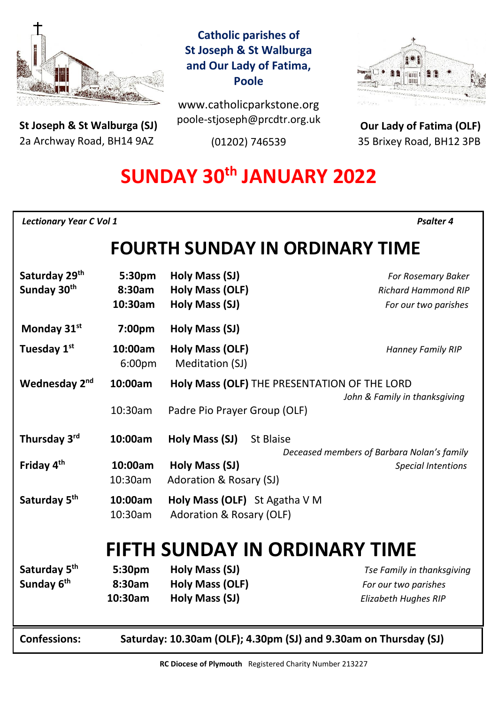

**St Joseph & St Walburga (SJ)** 2a Archway Road, BH14 9AZ 

**Catholic parishes of St Joseph & St Walburga and Our Lady of Fatima, Poole**

www.catholicparkstone.org poole-stjoseph@prcdtr.org.uk

(01202) 746539



**Our Lady of Fatima (OLF)** 35 Brixey Road, BH12 3PB

# **SUNDAY 30th JANUARY 2022**

*Lectionary Year C Vol 1**Psalter 4* 

# **FOURTH SUNDAY IN ORDINARY TIME**

| 8:30am<br><b>Holy Mass (OLF)</b><br><b>Richard Hammond RIP</b><br>10:30am<br>Holy Mass (SJ)<br>For our two parishes<br>Monday 31st<br>Holy Mass (SJ)<br>7:00pm<br>Tuesday 1st<br><b>Holy Mass (OLF)</b><br>10:00am<br>Hanney Family RIP<br>Meditation (SJ)<br>6:00pm<br>Wednesday 2 <sup>nd</sup><br>10:00am<br>Holy Mass (OLF) THE PRESENTATION OF THE LORD<br>John & Family in thanksgiving<br>10:30am<br>Padre Pio Prayer Group (OLF)<br>Thursday 3rd<br>10:00am<br>Holy Mass (SJ)<br>St Blaise<br>Deceased members of Barbara Nolan's family<br>Friday 4 <sup>th</sup><br>10:00am<br>Holy Mass (SJ)<br><b>Special Intentions</b><br>10:30am<br>Adoration & Rosary (SJ)<br>Saturday 5 <sup>th</sup><br>10:00am<br>Holy Mass (OLF) St Agatha V M<br>10:30am<br><b>Adoration &amp; Rosary (OLF)</b><br><b>FIFTH SUNDAY IN ORDINARY TIME</b><br>Saturday 5 <sup>th</sup><br>Holy Mass (SJ)<br>5:30pm<br>Tse Family in thanksgiving<br>Sunday 6 <sup>th</sup><br>8:30am<br><b>Holy Mass (OLF)</b><br>For our two parishes<br>10:30am<br>Holy Mass (SJ)<br>Elizabeth Hughes RIP<br><b>Confessions:</b><br>Saturday: 10.30am (OLF); 4.30pm (SJ) and 9.30am on Thursday (SJ) | Saturday 29th           | 5:30pm | Holy Mass (SJ) | For Rosemary Baker |  |
|--------------------------------------------------------------------------------------------------------------------------------------------------------------------------------------------------------------------------------------------------------------------------------------------------------------------------------------------------------------------------------------------------------------------------------------------------------------------------------------------------------------------------------------------------------------------------------------------------------------------------------------------------------------------------------------------------------------------------------------------------------------------------------------------------------------------------------------------------------------------------------------------------------------------------------------------------------------------------------------------------------------------------------------------------------------------------------------------------------------------------------------------------------------------------|-------------------------|--------|----------------|--------------------|--|
|                                                                                                                                                                                                                                                                                                                                                                                                                                                                                                                                                                                                                                                                                                                                                                                                                                                                                                                                                                                                                                                                                                                                                                          | Sunday 30 <sup>th</sup> |        |                |                    |  |
|                                                                                                                                                                                                                                                                                                                                                                                                                                                                                                                                                                                                                                                                                                                                                                                                                                                                                                                                                                                                                                                                                                                                                                          |                         |        |                |                    |  |
|                                                                                                                                                                                                                                                                                                                                                                                                                                                                                                                                                                                                                                                                                                                                                                                                                                                                                                                                                                                                                                                                                                                                                                          |                         |        |                |                    |  |
|                                                                                                                                                                                                                                                                                                                                                                                                                                                                                                                                                                                                                                                                                                                                                                                                                                                                                                                                                                                                                                                                                                                                                                          |                         |        |                |                    |  |
|                                                                                                                                                                                                                                                                                                                                                                                                                                                                                                                                                                                                                                                                                                                                                                                                                                                                                                                                                                                                                                                                                                                                                                          |                         |        |                |                    |  |
|                                                                                                                                                                                                                                                                                                                                                                                                                                                                                                                                                                                                                                                                                                                                                                                                                                                                                                                                                                                                                                                                                                                                                                          |                         |        |                |                    |  |
|                                                                                                                                                                                                                                                                                                                                                                                                                                                                                                                                                                                                                                                                                                                                                                                                                                                                                                                                                                                                                                                                                                                                                                          |                         |        |                |                    |  |
|                                                                                                                                                                                                                                                                                                                                                                                                                                                                                                                                                                                                                                                                                                                                                                                                                                                                                                                                                                                                                                                                                                                                                                          |                         |        |                |                    |  |
|                                                                                                                                                                                                                                                                                                                                                                                                                                                                                                                                                                                                                                                                                                                                                                                                                                                                                                                                                                                                                                                                                                                                                                          |                         |        |                |                    |  |
|                                                                                                                                                                                                                                                                                                                                                                                                                                                                                                                                                                                                                                                                                                                                                                                                                                                                                                                                                                                                                                                                                                                                                                          |                         |        |                |                    |  |
|                                                                                                                                                                                                                                                                                                                                                                                                                                                                                                                                                                                                                                                                                                                                                                                                                                                                                                                                                                                                                                                                                                                                                                          |                         |        |                |                    |  |
|                                                                                                                                                                                                                                                                                                                                                                                                                                                                                                                                                                                                                                                                                                                                                                                                                                                                                                                                                                                                                                                                                                                                                                          |                         |        |                |                    |  |
|                                                                                                                                                                                                                                                                                                                                                                                                                                                                                                                                                                                                                                                                                                                                                                                                                                                                                                                                                                                                                                                                                                                                                                          |                         |        |                |                    |  |
|                                                                                                                                                                                                                                                                                                                                                                                                                                                                                                                                                                                                                                                                                                                                                                                                                                                                                                                                                                                                                                                                                                                                                                          |                         |        |                |                    |  |